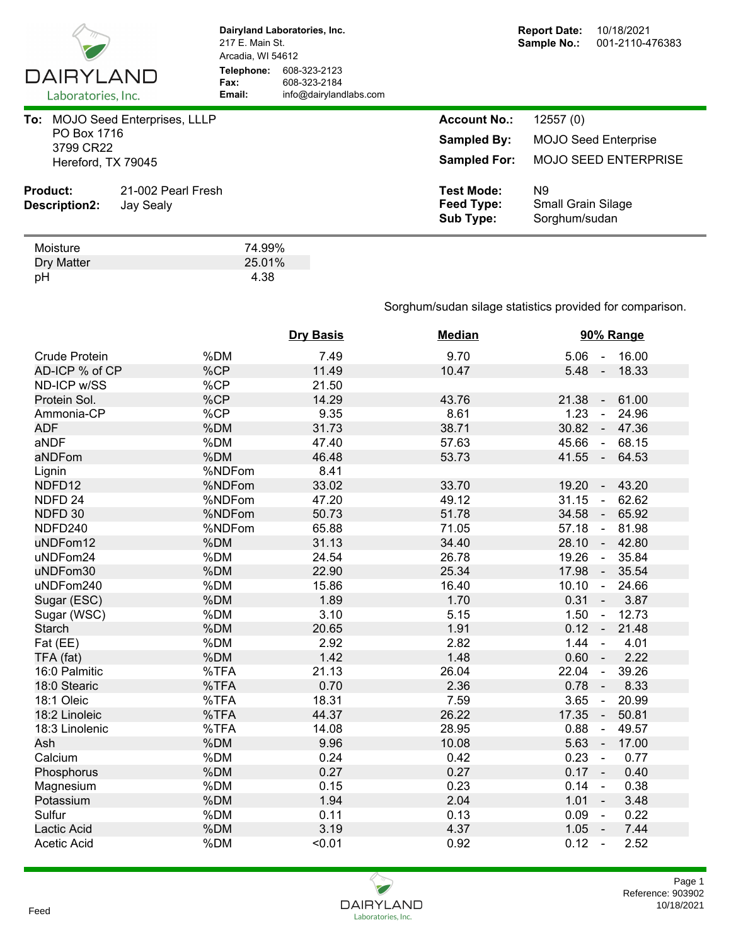

**Dairyland Laboratories, Inc.** 217 E. Main St. Arcadia, WI 54612 **Telephone:** 608-323-2123 **Fax:** 608-323-2184<br> **Email:** info@dairyland **Email:** info@dairylandlabs.com

| To:<br>PO Box 1716<br>3799 CR22<br>Hereford, TX 79045 | <b>MOJO Seed Enterprises, LLLP</b> | <b>Account No.:</b><br><b>Sampled By:</b><br><b>Sampled For:</b> | 12557(0)<br><b>MOJO Seed Enterprise</b><br><b>MOJO SEED ENTERPRISE</b> |
|-------------------------------------------------------|------------------------------------|------------------------------------------------------------------|------------------------------------------------------------------------|
| <b>Product:</b><br>Description2:                      | 21-002 Pearl Fresh<br>Jay Sealy    | <b>Test Mode:</b><br>Feed Type:<br><b>Sub Type:</b>              | N9<br><b>Small Grain Silage</b><br>Sorghum/sudan                       |

| Moisture   | 74.99% |
|------------|--------|
| Dry Matter | 25.01% |
| pH         | 4.38   |

## Sorghum/sudan silage statistics provided for comparison.

|                      |        | <b>Dry Basis</b> | <b>Median</b> | 90% Range                        |
|----------------------|--------|------------------|---------------|----------------------------------|
| <b>Crude Protein</b> | %DM    | 7.49             | 9.70          | 16.00<br>$5.06 -$                |
| AD-ICP % of CP       | %CP    | 11.49            | 10.47         | 5.48<br>18.33<br>$\sim$ $\sim$   |
| ND-ICP w/SS          | %CP    | 21.50            |               |                                  |
| Protein Sol.         | %CP    | 14.29            | 43.76         | 61.00<br>21.38<br>$\omega$       |
| Ammonia-CP           | %CP    | 9.35             | 8.61          | 1.23<br>24.96<br>$\mathbf{r}$    |
| <b>ADF</b>           | %DM    | 31.73            | 38.71         | 30.82<br>47.36<br>$\sim$         |
| aNDF                 | %DM    | 47.40            | 57.63         | 45.66<br>68.15<br>$\blacksquare$ |
| aNDFom               | %DM    | 46.48            | 53.73         | $41.55 -$<br>64.53               |
| Lignin               | %NDFom | 8.41             |               |                                  |
| NDFD12               | %NDFom | 33.02            | 33.70         | 43.20<br>19.20<br>$\blacksquare$ |
| NDFD <sub>24</sub>   | %NDFom | 47.20            | 49.12         | 31.15<br>62.62<br>$\blacksquare$ |
| NDFD 30              | %NDFom | 50.73            | 51.78         | 34.58<br>65.92<br>$\blacksquare$ |
| NDFD240              | %NDFom | 65.88            | 71.05         | 57.18<br>81.98<br>$\mathbb{Z}^2$ |
| uNDFom12             | %DM    | 31.13            | 34.40         | 28.10<br>42.80<br>$\mathbb{Z}^2$ |
| uNDFom24             | %DM    | 24.54            | 26.78         | 19.26<br>35.84<br>$\sim$         |
| uNDFom30             | %DM    | 22.90            | 25.34         | 17.98<br>35.54<br>$\sim$         |
| uNDFom240            | %DM    | 15.86            | 16.40         | 10.10<br>$\sim$<br>24.66         |
| Sugar (ESC)          | %DM    | 1.89             | 1.70          | $0.31 -$<br>3.87                 |
| Sugar (WSC)          | %DM    | 3.10             | 5.15          | 1.50<br>12.73<br>$\blacksquare$  |
| <b>Starch</b>        | %DM    | 20.65            | 1.91          | $0.12 -$<br>21.48                |
| Fat (EE)             | %DM    | 2.92             | 2.82          | 1.44<br>4.01<br>$\blacksquare$   |
| TFA (fat)            | %DM    | 1.42             | 1.48          | $0.60 -$<br>2.22                 |
| 16:0 Palmitic        | %TFA   | 21.13            | 26.04         | 22.04<br>39.26<br>$\blacksquare$ |
| 18:0 Stearic         | %TFA   | 0.70             | 2.36          | 0.78<br>8.33<br>$\blacksquare$   |
| 18:1 Oleic           | %TFA   | 18.31            | 7.59          | 3.65<br>20.99<br>$\omega$        |
| 18:2 Linoleic        | %TFA   | 44.37            | 26.22         | 17.35<br>50.81<br>$\blacksquare$ |
| 18:3 Linolenic       | %TFA   | 14.08            | 28.95         | 0.88<br>49.57<br>$\mathbb{Z}^2$  |
| Ash                  | %DM    | 9.96             | 10.08         | 5.63<br>17.00<br>$\blacksquare$  |
| Calcium              | %DM    | 0.24             | 0.42          | 0.23<br>0.77<br>$\blacksquare$   |
| Phosphorus           | %DM    | 0.27             | 0.27          | $0.17 -$<br>0.40                 |
| Magnesium            | %DM    | 0.15             | 0.23          | 0.14<br>0.38<br>$\blacksquare$   |
| Potassium            | %DM    | 1.94             | 2.04          | 1.01<br>3.48<br>$\sim$           |
| Sulfur               | %DM    | 0.11             | 0.13          | 0.09<br>0.22<br>$\omega$         |
| Lactic Acid          | %DM    | 3.19             | 4.37          | 1.05<br>7.44<br>$\sim$           |
| Acetic Acid          | %DM    | < 0.01           | 0.92          | 0.12<br>2.52<br>$\sim$           |